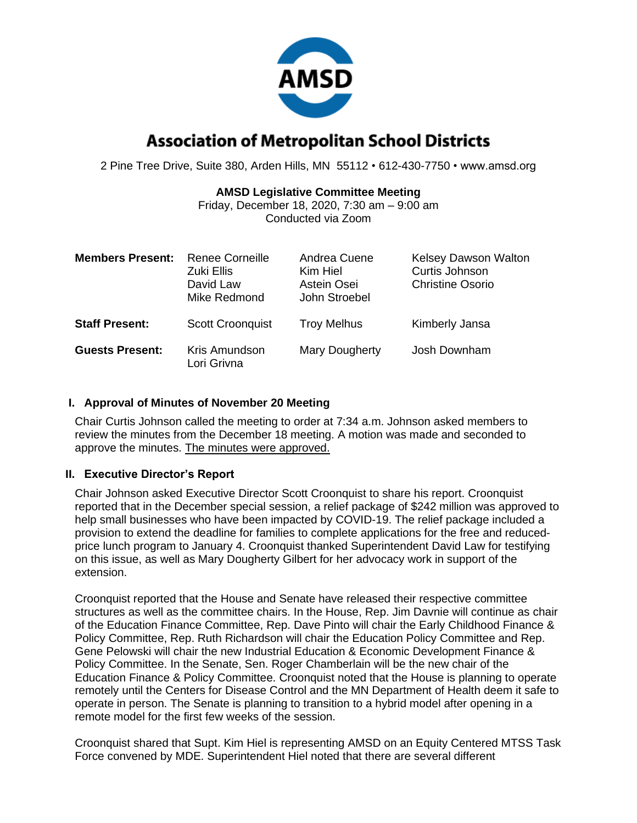

# **Association of Metropolitan School Districts**

2 Pine Tree Drive, Suite 380, Arden Hills, MN 55112 • 612-430-7750 • www.amsd.org

### **AMSD Legislative Committee Meeting**

Friday, December 18, 2020, 7:30 am – 9:00 am Conducted via Zoom

| <b>Members Present:</b> | <b>Renee Corneille</b><br>Zuki Ellis<br>David Law<br>Mike Redmond | Andrea Cuene<br>Kim Hiel<br>Astein Osei<br>John Stroebel | <b>Kelsey Dawson Walton</b><br>Curtis Johnson<br><b>Christine Osorio</b> |
|-------------------------|-------------------------------------------------------------------|----------------------------------------------------------|--------------------------------------------------------------------------|
| <b>Staff Present:</b>   | <b>Scott Croonquist</b>                                           | <b>Troy Melhus</b>                                       | Kimberly Jansa                                                           |
| <b>Guests Present:</b>  | Kris Amundson<br>Lori Grivna                                      | Mary Dougherty                                           | Josh Downham                                                             |

### **I. Approval of Minutes of November 20 Meeting**

Chair Curtis Johnson called the meeting to order at 7:34 a.m. Johnson asked members to review the minutes from the December 18 meeting. A motion was made and seconded to approve the minutes. The minutes were approved.

## **II. Executive Director's Report**

Chair Johnson asked Executive Director Scott Croonquist to share his report. Croonquist reported that in the December special session, a relief package of \$242 million was approved to help small businesses who have been impacted by COVID-19. The relief package included a provision to extend the deadline for families to complete applications for the free and reducedprice lunch program to January 4. Croonquist thanked Superintendent David Law for testifying on this issue, as well as Mary Dougherty Gilbert for her advocacy work in support of the extension.

Croonquist reported that the House and Senate have released their respective committee structures as well as the committee chairs. In the House, Rep. Jim Davnie will continue as chair of the Education Finance Committee, Rep. Dave Pinto will chair the Early Childhood Finance & Policy Committee, Rep. Ruth Richardson will chair the Education Policy Committee and Rep. Gene Pelowski will chair the new Industrial Education & Economic Development Finance & Policy Committee. In the Senate, Sen. Roger Chamberlain will be the new chair of the Education Finance & Policy Committee. Croonquist noted that the House is planning to operate remotely until the Centers for Disease Control and the MN Department of Health deem it safe to operate in person. The Senate is planning to transition to a hybrid model after opening in a remote model for the first few weeks of the session.

Croonquist shared that Supt. Kim Hiel is representing AMSD on an Equity Centered MTSS Task Force convened by MDE. Superintendent Hiel noted that there are several different